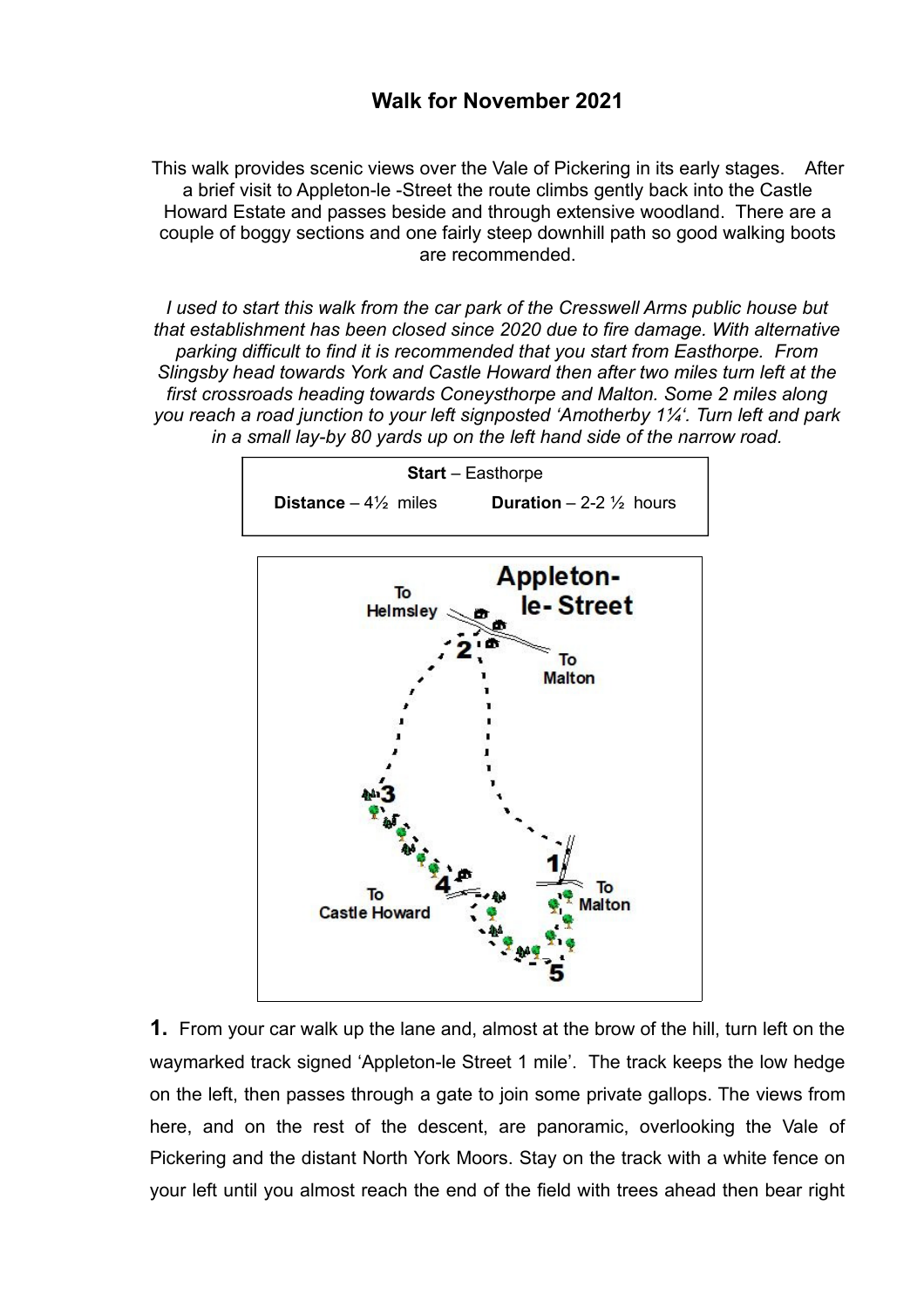## **Walk for November 2021**

This walk provides scenic views over the Vale of Pickering in its early stages. After a brief visit to Appleton-le -Street the route climbs gently back into the Castle Howard Estate and passes beside and through extensive woodland. There are a couple of boggy sections and one fairly steep downhill path so good walking boots are recommended.

*I used to start this walk from the car park of the Cresswell Arms public house but that establishment has been closed since 2020 due to fire damage. With alternative parking difficult to find it is recommended that you start from Easthorpe. From Slingsby head towards York and Castle Howard then after two miles turn left at the first crossroads heading towards Coneysthorpe and Malton. Some 2 miles along you reach a road junction to your left signposted 'Amotherby 1¼'. Turn left and park in a small lay-by 80 yards up on the left hand side of the narrow road.*



**1.** From your car walk up the lane and, almost at the brow of the hill, turn left on the waymarked track signed 'Appleton-le Street 1 mile'. The track keeps the low hedge on the left, then passes through a gate to join some private gallops. The views from here, and on the rest of the descent, are panoramic, overlooking the Vale of Pickering and the distant North York Moors. Stay on the track with a white fence on your left until you almost reach the end of the field with trees ahead then bear right